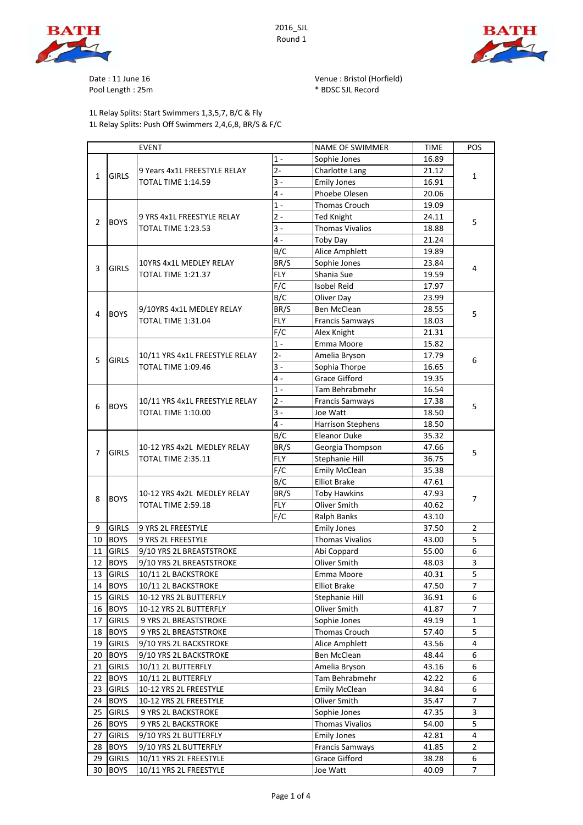





Date : 11 June 16 Venue : Bristol (Horfield) Pool Length : 25m  $*$  BDSC SJL Record

1L Relay Splits: Start Swimmers 1,3,5,7, B/C & Fly 1L Relay Splits: Push Off Swimmers 2,4,6,8, BR/S & F/C

EVENT NAME OF SWIMMER TIME POS 1 - Sophie Jones 16.89 9 Years 4x1L FREESTYLE RELAY 2- Charlotte Lang 21.12 TOTAL TIME 1:14.59 3 - Emily Jones 16.91 4 - Phoebe Olesen 20.06 1 - Thomas Crouch 19.09 9 YRS 4x1L FREESTYLE RELAY 2- Ted Knight 24.11 TOTAL TIME 1:23.53 3 3 - Thomas Vivalios 18.88 4 - Toby Day 21.24 B/C Alice Amphlett 19.89 10YRS 4x1L MEDLEY RELAY BR/S Sophie Jones 23.84 TOTAL TIME 1:21.37  $|FLY|$  Shania Sue 19.59 F/C Isobel Reid 17.97 B/C Oliver Day 23.99 9/10YRS 4x1L MEDLEY RELAY BR/S Ben McClean 28.55 FLY Francis Samways 18.03 F/C Alex Knight 21.31 1 - Emma Moore 15.82 10/11 YRS 4x1L FREESTYLE RELAY 2- Amelia Bryson 17.79 TOTAL TIME  $1:09.46$   $3-$  Sophia Thorpe 16.65 4 - Grace Gifford 19.35 1 - Tam Behrabmehr 16.54 10/11 YRS 4x1L FREESTYLE RELAY 2 - Francis Samways 17.38 TOTAL TIME 1:10.00 3 - Joe Watt 18.50 6 BOYS 5 4 - Harrison Stephens 18.50 B/C Eleanor Duke 35.32 10-12 YRS 4x2L MEDLEY RELAY |BR/S |Georgia Thompson | 47.66 TOTAL TIME 2:35.11 | FLY | Stephanie Hill | 36.75 F/C Emily McClean 35.38 B/C Elliot Brake 147.61 10-12 YRS 4x2L MEDLEY RELAY | BR/S | Toby Hawkins | 47.93 8 BOYS  $T$  TOTAL TIME 2:59.18 FLY Oliver Smith  $40.62$ F/C Ralph Banks 13.10 9 GIRLS 9 YRS 2L FREESTYLE Emily Jones 2. 2 10 BOYS 9 YRS 2L FREESTYLE Thomas Vivalios 11 GIRLS 9/10 YRS 2L BREASTSTROKE AND ADD ADD AND COPPARE 11 GIRLS 9/10 YRS 2L BREASTSTROKE Abi Coppard 55.00 6 12 BOYS 9/10 YRS 2L BREASTSTROKE Oliver Smith 48.03 3 13 GIRLS 10/11 2L BACKSTROKE Emma Moore 40.31 5 14 BOYS 10/11 2L BACKSTROKE Elliot Brake 2.50 | 47.50 | 7 15 GIRLS 10-12 YRS 2L BUTTERFLY Stephanie Hill 36.91 6 16 BOYS 10-12 YRS 2L BUTTERFLY QUiver Smith QUiver Smith 41.87 7 17 GIRLS 9 YRS 2L BREASTSTROKE Sophie Jones 49.19 1 18 BOYS 9 YRS 2L BREASTSTROKE Thomas Crouch 57.40 5 19 GIRLS 9/10 YRS 2L BACKSTROKE Alice Amphlett 43.56 4 20 BOYS 9/10 YRS 2L BACKSTROKE Ben McClean 20 Ben McClean 48.44 6 21 GIRLS 10/11 2L BUTTERFLY Amelia Bryson 43.16 6 22 BOYS 10/11 2L BUTTERFLY Tam Behrabmehr 42.22 6 23 GIRLS 10-12 YRS 2L FREESTYLE Emily McClean 23 GIRLS 10-12 YRS 2L FREESTYLE 24 BOYS 10-12 YRS 2L FREESTYLE CONVERTING ORDER OLIVER Smith 35.47 7 25 GIRLS 9 YRS 2L BACKSTROKE Sophie Jones 47.35 3 26 BOYS 9 YRS 2L BACKSTROKE Thomas Vivalios 54.00 5<br>27 GIRIS 9/10 YRS 2L BUTTERFLY Emily Jones 42.81 4 27 GIRLS 9/10 YRS 2L BUTTERFLY Emily Jones 42.81 4 28 BOYS 9/10 YRS 2L BUTTERFLY Francis Samways 41.85 2 29 GIRLS 10/11 YRS 2L FREESTYLE Grace Gifford 1 38.28 6 30 BOYS 10/11 YRS 2L FREESTYLE Joe Watt 40.09 7 1 GIRLS 1 2 BOYS  $\frac{1}{2}$   $\frac{1}{2}$   $\frac{1}{2}$   $\frac{1}{2}$   $\frac{1}{2}$   $\frac{1}{2}$   $\frac{1}{2}$   $\frac{1}{2}$   $\frac{1}{2}$   $\frac{1}{2}$   $\frac{1}{2}$   $\frac{1}{2}$   $\frac{1}{2}$   $\frac{1}{2}$   $\frac{1}{2}$   $\frac{1}{2}$   $\frac{1}{2}$   $\frac{1}{2}$   $\frac{1}{2}$   $\frac{1}{2}$   $\frac{1}{2}$   $\frac{$  $3 \left| \frac{\text{GIRLS}}{\text{GIRLS}} \right|$   $\frac{\text{FIR}}{\text{GIR}}$   $\frac{\text{GIR}}{\text{GIR}}$   $\frac{\text{GIR}}{\text{GIR}}$   $\frac{\text{GIR}}{\text{GIR}}$   $\frac{\text{GIR}}{\text{GIR}}$   $\frac{\text{GIR}}{\text{GIR}}$   $\frac{\text{GIR}}{\text{GIR}}$   $\frac{\text{GIR}}{\text{GIR}}$   $\frac{\text{GIR}}{\text{GIR}}$   $\frac{\text{GIR}}{\text{GIR}}$   $\frac{\text{GIR}}{\text{GIR}}$   $\frac{\text{GIR$ 4 BOYS 3710Th 4XIL MEDLET RELAT BR/3 BEH MICHEAN<br>TOTAL TIME 1:31.04 FLY Francis Samways 18.03 5  $5 \left| \frac{\text{GIRLS}}{\text{GIRLS}} \right|$   $\frac{1}{100 \text{ K}} \left| \frac{\text{GIRLS}}{\text{GIRLS}} \right|$   $\frac{1}{100 \text{ K}} \left| \frac{\text{GIRLS}}{\text{GIRLS}} \right|$   $\frac{1}{100 \text{ K}} \left| \frac{\text{GIRLS}}{\text{GIRLS}} \right|$ 7 GIRLS  $\frac{1000 \text{ m/s}}{1000 \text{ m/s}}$  5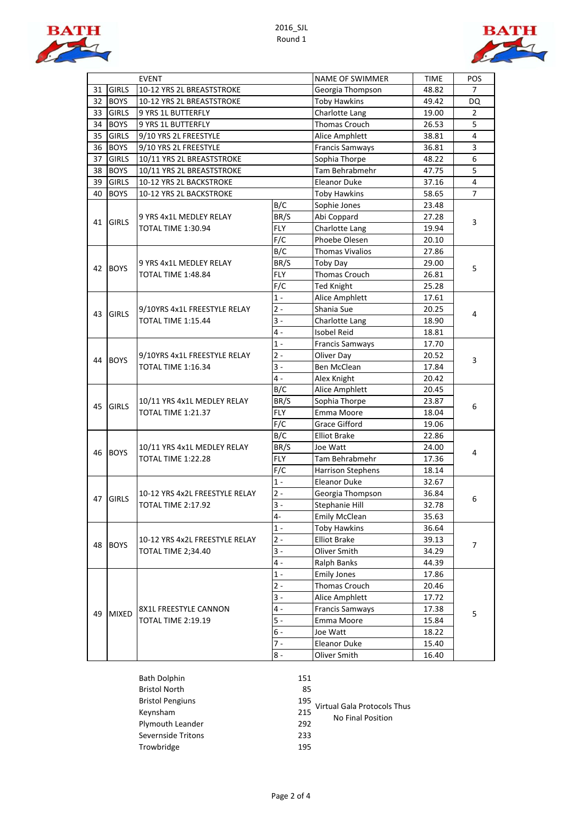



|    | <b>EVENT</b> |                                                             |            | <b>NAME OF SWIMMER</b>   | <b>TIME</b> | POS            |
|----|--------------|-------------------------------------------------------------|------------|--------------------------|-------------|----------------|
| 31 | <b>GIRLS</b> | 10-12 YRS 2L BREASTSTROKE                                   |            | Georgia Thompson         | 48.82       | 7              |
| 32 | <b>BOYS</b>  | 10-12 YRS 2L BREASTSTROKE                                   |            | <b>Toby Hawkins</b>      | 49.42       | DQ             |
| 33 | <b>GIRLS</b> | 9 YRS 1L BUTTERFLY                                          |            | Charlotte Lang           | 19.00       | 2              |
| 34 | <b>BOYS</b>  | 9 YRS 1L BUTTERFLY                                          |            | Thomas Crouch            | 26.53       | 5              |
| 35 | <b>GIRLS</b> | 9/10 YRS 2L FREESTYLE                                       |            | Alice Amphlett           | 38.81       | $\overline{4}$ |
| 36 | <b>BOYS</b>  | 9/10 YRS 2L FREESTYLE                                       |            | <b>Francis Samways</b>   | 36.81       | 3              |
| 37 | <b>GIRLS</b> | 10/11 YRS 2L BREASTSTROKE                                   |            | Sophia Thorpe            | 48.22       | $6\phantom{a}$ |
| 38 | <b>BOYS</b>  | 10/11 YRS 2L BREASTSTROKE                                   |            | Tam Behrabmehr           | 47.75       | 5              |
| 39 | <b>GIRLS</b> | 10-12 YRS 2L BACKSTROKE                                     |            | <b>Eleanor Duke</b>      | 37.16       | $\overline{4}$ |
| 40 | <b>BOYS</b>  | 10-12 YRS 2L BACKSTROKE                                     |            | <b>Toby Hawkins</b>      | 58.65       | 7              |
|    |              |                                                             | B/C        | Sophie Jones             | 23.48       | 3              |
|    |              | 9 YRS 4x1L MEDLEY RELAY                                     | BR/S       | Abi Coppard              | 27.28       |                |
| 41 | <b>GIRLS</b> | TOTAL TIME 1:30.94                                          | FLY        | Charlotte Lang           | 19.94       |                |
|    |              |                                                             | F/C        | Phoebe Olesen            | 20.10       |                |
|    |              |                                                             | B/C        | <b>Thomas Vivalios</b>   | 27.86       |                |
|    |              | 9 YRS 4x1L MEDLEY RELAY                                     | BR/S       | Toby Day                 | 29.00       |                |
| 42 | <b>BOYS</b>  | <b>TOTAL TIME 1:48.84</b>                                   | <b>FLY</b> | Thomas Crouch            | 26.81       | 5              |
|    |              |                                                             | F/C        | <b>Ted Knight</b>        | 25.28       |                |
|    |              |                                                             | $1 -$      | Alice Amphlett           | 17.61       |                |
|    |              | 9/10YRS 4x1L FREESTYLE RELAY                                | $2 -$      | Shania Sue               | 20.25       | 4              |
| 43 | <b>GIRLS</b> | <b>TOTAL TIME 1:15.44</b>                                   | $3 -$      | Charlotte Lang           | 18.90       |                |
|    |              |                                                             | $4 -$      | <b>Isobel Reid</b>       | 18.81       |                |
|    |              | 9/10YRS 4x1L FREESTYLE RELAY<br><b>TOTAL TIME 1:16.34</b>   | $1 -$      | <b>Francis Samways</b>   | 17.70       |                |
|    | <b>BOYS</b>  |                                                             | $2 -$      | Oliver Day               | 20.52       | 3              |
| 44 |              |                                                             | $3 -$      | Ben McClean              | 17.84       |                |
|    |              |                                                             | 4 -        | Alex Knight              | 20.42       |                |
|    | <b>GIRLS</b> | 10/11 YRS 4x1L MEDLEY RELAY<br><b>TOTAL TIME 1:21.37</b>    | B/C        | Alice Amphlett           | 20.45       | 6              |
|    |              |                                                             | BR/S       | Sophia Thorpe            | 23.87       |                |
| 45 |              |                                                             | <b>FLY</b> | Emma Moore               | 18.04       |                |
|    |              |                                                             | F/C        | Grace Gifford            | 19.06       |                |
|    |              | 10/11 YRS 4x1L MEDLEY RELAY<br><b>TOTAL TIME 1:22.28</b>    | B/C        | <b>Elliot Brake</b>      | 22.86       | 4              |
|    |              |                                                             | BR/S       | Joe Watt                 | 24.00       |                |
| 46 | <b>BOYS</b>  |                                                             | <b>FLY</b> | Tam Behrabmehr           | 17.36       |                |
|    |              |                                                             | F/C        | <b>Harrison Stephens</b> | 18.14       |                |
|    |              |                                                             | $1 -$      | <b>Eleanor Duke</b>      | 32.67       |                |
|    | <b>GIRLS</b> | 10-12 YRS 4x2L FREESTYLE RELAY<br><b>TOTAL TIME 2:17.92</b> | $2 -$      | Georgia Thompson         | 36.84       |                |
| 47 |              |                                                             | $3 -$      | Stephanie Hill           | 32.78       | 6              |
|    |              |                                                             | 4-         | <b>Emily McClean</b>     | 35.63       |                |
| 48 | <b>BOYS</b>  | 10-12 YRS 4x2L FREESTYLE RELAY<br>TOTAL TIME 2;34.40        | $1 -$      | <b>Toby Hawkins</b>      | 36.64       | 7              |
|    |              |                                                             | $2 -$      | <b>Elliot Brake</b>      | 39.13       |                |
|    |              |                                                             | 3 -        | Oliver Smith             | 34.29       |                |
|    |              |                                                             | $4 -$      | Ralph Banks              | 44.39       |                |
|    | <b>MIXED</b> | 8X1L FREESTYLE CANNON<br><b>TOTAL TIME 2:19.19</b>          | $1$ - $\,$ | <b>Emily Jones</b>       | 17.86       | 5              |
|    |              |                                                             | $2 -$      | Thomas Crouch            | 20.46       |                |
| 49 |              |                                                             | $3 -$      | Alice Amphlett           | 17.72       |                |
|    |              |                                                             | $4 -$      | Francis Samways          | 17.38       |                |
|    |              |                                                             | $5 -$      | Emma Moore               | 15.84       |                |
|    |              |                                                             | 6 -        | Joe Watt                 | 18.22       |                |
|    |              |                                                             | $7 -$      | Eleanor Duke             | 15.40       |                |
|    |              |                                                             | 8 -        | Oliver Smith             | 16.40       |                |
|    |              |                                                             |            |                          |             |                |

| Bath Dolphin            | 151 |
|-------------------------|-----|
| <b>Bristol North</b>    | 85  |
| <b>Bristol Pengiuns</b> | 195 |
| Keynsham                | 215 |
| Plymouth Leander        | 292 |
| Severnside Tritons      | 233 |
| Trowbridge              | 195 |

- 
- 

 $\frac{195}{215}$  Virtual Gala Protocols Thus

No Final Position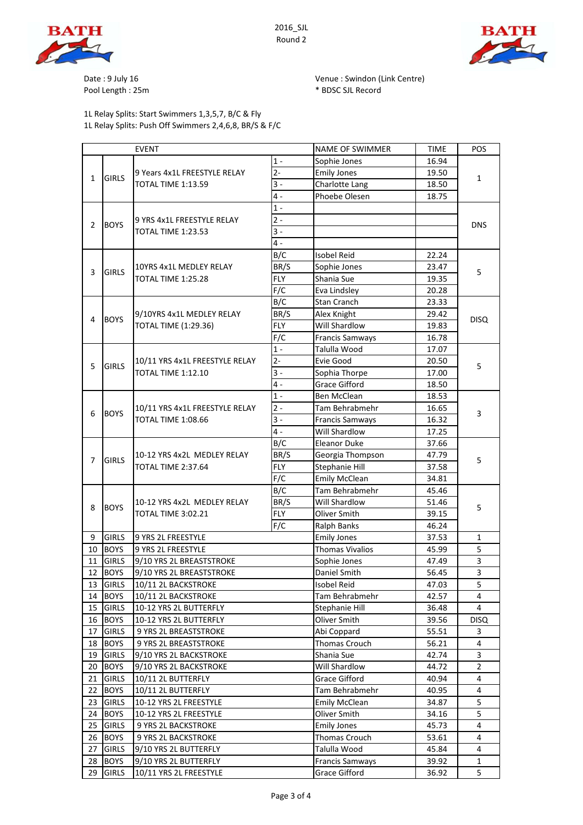



Pool Length : 25m  $*$  BDSC SJL Record

1L Relay Splits: Start Swimmers 1,3,5,7, B/C & Fly 1L Relay Splits: Push Off Swimmers 2,4,6,8, BR/S & F/C

Date : 9 July 16 **Date : 9 July 16** Venue : Swindon (Link Centre)

| <b>EVENT</b>   |              |                                                             |            | <b>NAME OF SWIMMER</b> | <b>TIME</b> | POS            |
|----------------|--------------|-------------------------------------------------------------|------------|------------------------|-------------|----------------|
|                | <b>GIRLS</b> | 9 Years 4x1L FREESTYLE RELAY<br><b>TOTAL TIME 1:13.59</b>   | $1 -$      | Sophie Jones           | 16.94       | $\mathbf{1}$   |
| $\mathbf{1}$   |              |                                                             | $2 -$      | <b>Emily Jones</b>     | 19.50       |                |
|                |              |                                                             | $3 -$      | Charlotte Lang         | 18.50       |                |
|                |              |                                                             | $4 -$      | Phoebe Olesen          | 18.75       |                |
|                |              |                                                             | $1 -$      |                        |             |                |
| $\overline{2}$ |              | 9 YRS 4x1L FREESTYLE RELAY                                  | $2 -$      |                        |             |                |
|                | <b>BOYS</b>  | <b>TOTAL TIME 1:23.53</b>                                   | $3 -$      |                        |             | <b>DNS</b>     |
|                |              |                                                             | $4 -$      |                        |             |                |
|                | <b>GIRLS</b> |                                                             | B/C        | <b>Isobel Reid</b>     | 22.24       |                |
|                |              | 10YRS 4x1L MEDLEY RELAY                                     | BR/S       | Sophie Jones           | 23.47       | 5              |
| 3              |              | TOTAL TIME 1:25.28                                          | <b>FLY</b> | Shania Sue             | 19.35       |                |
|                |              |                                                             | F/C        | Eva Lindsley           | 20.28       |                |
|                |              |                                                             | B/C        | Stan Cranch            | 23.33       | <b>DISQ</b>    |
|                |              | 9/10YRS 4x1L MEDLEY RELAY                                   | BR/S       | Alex Knight            | 29.42       |                |
| 4              | <b>BOYS</b>  | <b>TOTAL TIME (1:29.36)</b>                                 | <b>FLY</b> | Will Shardlow          | 19.83       |                |
|                |              |                                                             | F/C        | <b>Francis Samways</b> | 16.78       |                |
|                |              | 10/11 YRS 4x1L FREESTYLE RELAY<br><b>TOTAL TIME 1:12.10</b> | $1 -$      | Talulla Wood           | 17.07       |                |
|                |              |                                                             | $2 -$      | Evie Good              | 20.50       |                |
| 5              | <b>GIRLS</b> |                                                             | $3 -$      | Sophia Thorpe          | 17.00       | 5              |
|                |              |                                                             | 4 -        | <b>Grace Gifford</b>   | 18.50       |                |
|                |              |                                                             | $1 -$      | Ben McClean            | 18.53       |                |
|                |              | 10/11 YRS 4x1L FREESTYLE RELAY<br>TOTAL TIME 1:08.66        | $2 -$      | Tam Behrabmehr         | 16.65       |                |
| 6              | <b>BOYS</b>  |                                                             | $3 -$      | <b>Francis Samways</b> | 16.32       | 3              |
|                |              |                                                             | 4 -        | Will Shardlow          | 17.25       |                |
|                |              |                                                             | B/C        | Eleanor Duke           | 37.66       |                |
|                | <b>GIRLS</b> | 10-12 YRS 4x2L MEDLEY RELAY<br>TOTAL TIME 2:37.64           | BR/S       | Georgia Thompson       | 47.79       | 5              |
| $\overline{7}$ |              |                                                             | <b>FLY</b> | Stephanie Hill         | 37.58       |                |
|                |              |                                                             | F/C        | <b>Emily McClean</b>   | 34.81       |                |
|                | <b>BOYS</b>  | 10-12 YRS 4x2L MEDLEY RELAY<br><b>TOTAL TIME 3:02.21</b>    | B/C        | Tam Behrabmehr         | 45.46       | 5              |
|                |              |                                                             | BR/S       | Will Shardlow          | 51.46       |                |
| 8              |              |                                                             | <b>FLY</b> | Oliver Smith           | 39.15       |                |
|                |              |                                                             |            | <b>Ralph Banks</b>     | 46.24       |                |
| 9              | <b>GIRLS</b> | F/C                                                         |            | <b>Emily Jones</b>     | 37.53       | $\mathbf{1}$   |
| 10             | <b>BOYS</b>  | 9 YRS 2L FREESTYLE                                          |            | <b>Thomas Vivalios</b> | 45.99       | 5              |
| 11             | <b>GIRLS</b> | 9 YRS 2L FREESTYLE<br>9/10 YRS 2L BREASTSTROKE              |            | Sophie Jones           | 47.49       | 3              |
| 12             | <b>BOYS</b>  | 9/10 YRS 2L BREASTSTROKE                                    |            | Daniel Smith           | 56.45       | 3              |
|                | 13 GIRLS     | 10/11 2L BACKSTROKE                                         |            | Isobel Reid            | 47.03       | 5              |
| 14             | <b>BOYS</b>  |                                                             |            | Tam Behrabmehr         | 42.57       | 4              |
| 15             | <b>GIRLS</b> | 10/11 2L BACKSTROKE                                         |            | Stephanie Hill         | 36.48       | 4              |
| 16             | <b>BOYS</b>  | 10-12 YRS 2L BUTTERFLY                                      |            | Oliver Smith           | 39.56       | <b>DISQ</b>    |
| 17             | <b>GIRLS</b> | 10-12 YRS 2L BUTTERFLY                                      |            | Abi Coppard            | 55.51       | 3              |
| 18             | <b>BOYS</b>  | 9 YRS 2L BREASTSTROKE                                       |            | Thomas Crouch          | 56.21       | 4              |
| 19             | <b>GIRLS</b> | 9 YRS 2L BREASTSTROKE                                       |            | Shania Sue             | 42.74       | 3              |
| 20             | <b>BOYS</b>  | 9/10 YRS 2L BACKSTROKE                                      |            | Will Shardlow          | 44.72       | $\overline{2}$ |
| 21             | <b>GIRLS</b> | 9/10 YRS 2L BACKSTROKE                                      |            | Grace Gifford          | 40.94       | 4              |
| 22             | <b>BOYS</b>  | 10/11 2L BUTTERFLY<br>10/11 2L BUTTERFLY                    |            | Tam Behrabmehr         | 40.95       | 4              |
| 23             | <b>GIRLS</b> |                                                             |            | <b>Emily McClean</b>   | 34.87       | 5              |
| 24             | <b>BOYS</b>  | 10-12 YRS 2L FREESTYLE                                      |            | Oliver Smith           | 34.16       | 5              |
| 25             | <b>GIRLS</b> | 10-12 YRS 2L FREESTYLE                                      |            | <b>Emily Jones</b>     | 45.73       | 4              |
| 26             | <b>BOYS</b>  | 9 YRS 2L BACKSTROKE                                         |            | Thomas Crouch          | 53.61       | 4              |
| 27             | <b>GIRLS</b> | 9 YRS 2L BACKSTROKE<br>9/10 YRS 2L BUTTERFLY                |            | Talulla Wood           | 45.84       | 4              |
| 28             | <b>BOYS</b>  | 9/10 YRS 2L BUTTERFLY                                       |            | <b>Francis Samways</b> | 39.92       | $\mathbf{1}$   |
|                |              |                                                             |            |                        |             |                |

29 GIRLS 10/11 YRS 2L FREESTYLE Grace Gifford 36.92 5